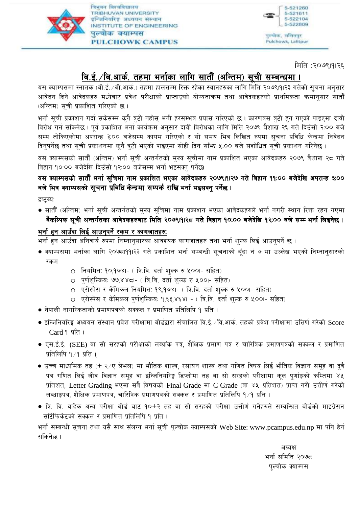

त्रिभवन विश्वविद्यालय TRIBHUVAN UNIVERSITY इन्जिनियरिङ्ग अध्ययन संस्थान INSTITUTE OF ENGINEERING पल्चोक क्याम्पस **PULCHOWK CAMPUS** 



पुरूषोक, सालितपुर, Pulchowk, Lalitpur

मिति :२०७९।११६

# बि.ई. /बि.आर्क. तहमा भर्नाका लागि सातौँ (अन्तिम) सूची सम्बन्धमा ।

यस क्याम्पसमा स्नातक (बी.ई. /बी.आर्क.) तहमा हालसम्म रिक्त रहेका स्थानहरुका लागि मिति २०७९।१।२३ गतेको सूचना अनुसार आवेदन दिने आवेदकहरु मध्येबाट प्रवेश परीक्षाको प्राप्ताङ्कको योग्यताक्रम तथा आवेदकहरुको प्राथमिकता क्रमानुसार सातौँ (अन्तिम) सूची प्रकाशित गरिएको छ ।

भर्ना सूची प्रकाशन गर्दा सकेसम्म कुनै त्रुटी नहोस् भनी हरसम्भव प्रयास गरिएको छ । कारणवस त्रुटी हुन गएको पाइएमा दावी विरोध गर्न सकिनेछ। पूर्व प्रकाशित भर्ना कार्यक्रम अनुसार दावी विरोधका लागि मिति २०७९ वैशाख २६ गते दिउँसो २:०० बजे सम्म तोकिएकोमा अपरान्ह ३:०० बजेसम्म कायम गरिएको र सो समय भित्र लिखित रुपमा सूचना प्रविधि केन्द्रमा निवेदन दिनुपर्नेछ तथा सुची प्रकाशनमा कुनै त्रुटी भएको पाइएमा सोही दिन साँभ ५:०० बजे संशोधित सुची प्रकाशन गरिनेछ ।

यस क्याम्पसको सातौँ (अन्तिम) भर्ना सूची अन्तर्गतको मुख्य सूचीमा नाम प्रकाशित भएका आवेदकहरु २०७९ वैशाख २८ गते विहान १०:०० बजेदेखि दिउँसो १२:०० बजेसम्म भर्ना भइसक्न पर्नेछ।

# यस क्याम्पसको सातौँ भर्ना सुचिमा नाम प्रकाशित भएका आवेदकहरु २०७९।१।२७ गते बिहान ११:०० बजेदेखि अपरान्ह ३:०० बजे भित्र क्याम्पसको सूचना प्रविधि केन्द्रमा सम्पर्क राखि भर्ना भइसक्नु पर्नेछ ।

द्रष्टब्य:

● सातौँ (अन्तिम) भर्ना सूची अन्तर्गतको मुख्य सूचिमा नाम प्रकाशन भएका आवेदकहरुले भर्ना नगरी स्थान रिक्त रहन गएमा वैकल्पिक सूची अन्तर्गतका आवेदकहरुबाट मिति २०७९।१।२८ गते विहान १०:०० बजेदेखि १२:०० बजे सम्म भर्ना लिइनेछ ।

# <u>भर्ना हुन आउँदा लिई आउनुपर्ने रकम र कागजातहरु:</u>

भर्ना हुन आउँदा अनिवार्य रुपमा निम्नानुसारका आवश्यक कागजातहरु तथा भर्ना शुल्क लिई आउनुपर्ने छ ।

- क्याम्पसमा भर्नाका लागि २०७८।११।२३ गते प्रकाशित भर्ना सम्बन्धी सूचनाको बूँदा नं ७ मा उल्लेख भएको निम्नानुसारको रकम
	- 0 नियमित: १०,१७४।- ( त्रि.वि. दर्ता शुल्क रु ५००।- सहित)
	- 0 पर्णशल्किय: ७७,४४८।- ( त्रि.वि. दर्ता शल्क रु ५००।- सहित)
	- 0 एरोस्पेस र केमिकल नियमित: १९,१७४।- ( त्रि.वि. दर्ता शुल्क रु ५००।- सहित)
	- एरोस्पेस र केमिकल पुर्णशुल्किय: १,६३,४६४। ( त्रि.वि. दर्ता शुल्क रु ५००।- सहित)
- नेपाली नागरिकताको प्रमाणपत्रको सक्कल र प्रमाणित प्रतिलिपि १ प्रति ।
- $\bullet$  इन्जिनियरिङ्ग अध्ययन संस्थान प्रवेश परीक्षामा बोर्डद्वारा संचालित वि.ई. ⁄वि.आर्क. तहको प्रवेश परीक्षामा उत्तिर्ण गरेको  $\rm Score$  $Card 9 \times 1$
- एस.ई.ई. (SEE) वा सो सरहको परीक्षाको लब्धांक पत्र, शैक्षिक प्रमाण पत्र र चारित्रिक प्रमाणपत्रको सक्कल र प्रमाणित प्रतिलिपि १ ∕ प्रति ।
- उच्च माध्यमिक तह (+ २⁄ए लेभल) मा भौतिक शास्त्र, रसायन शास्त्र तथा गणित विषय लिई भौतिक विज्ञान समुह वा दुवै पत्र गणित लिई जीव विज्ञान समूह वा इन्जिनियरिङ्ग डिप्लोमा तह वा सो सरहको परीक्षामा कूल पूर्णाङ्गको कम्तिमा ४५ प्रतिशत, Letter Grading भएमा सबै विषयको Final Grade मा C Grade (वा ४५ प्रतिशत) प्राप्त गरी उत्तीर्ण गरेको लब्धाङ्कपत्र, शैक्षिक प्रमाणपत्र, चारित्रिक प्रमाणपत्रको सक्कल र प्रमाणित प्रतिलिपि १⁄१ प्रति ।
- त्रि. वि. वाहेक अन्य परीक्षा बोर्ड बाट १०+२ तह वा सो सरहको परीक्षा उत्तीर्ण गर्नेहरुले सम्वन्धित बोर्डको माइग्रेसन सर्टिफिकेटको सक्कल र प्रमाणित प्रतिलिपि १ प्रति ।

भर्ना सम्बन्धी सूचना तथा यसै साथ संलग्न भर्ना सूची पुल्चोक क्याम्पसको Web Site: www.pcampus.edu.np मा पनि हेर्न सकिनेछ ।

> अध्यक्ष भर्ना समिति २०७८ पुल्चोक क्याम्पस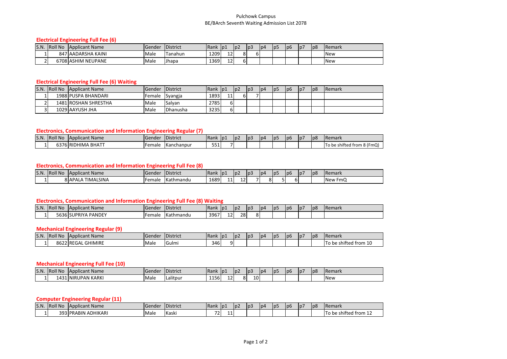#### Pulchowk Campus BE/BArch Seventh Waiting Admission List 2078

#### **Electrical Engineering Full Fee (6)**

| S.N. | <b>Roll No</b> | Applicant Name     | <b>IGender</b> | <b>District</b> | Rank | p1      | p2 | p3 | l p4 | p5 | p <sub>6</sub> | p7 | p8 | <b>Remark</b> |
|------|----------------|--------------------|----------------|-----------------|------|---------|----|----|------|----|----------------|----|----|---------------|
|      |                | 847 AADARSHA KAINI | Male           | Tanahun         | 1209 | 1つ<br>ᅭ |    |    |      |    |                |    |    | <b>New</b>    |
|      |                | 6708 ASHIM NEUPANE | Male           | <b>Jhapa</b>    | 1369 | 1つ<br>ᅭ |    |    |      |    |                |    |    | <b>New</b>    |

#### **Electrical Engineering Full Fee (6) Waiting**

| S.N. | <b>Roll No</b> | Applicant Name       | <b>Gender</b> | <b>IDistrict</b> | Rank | p1 | $\log 2$ | p3 | p4 | p5 | p6 | $\sqrt{p}$ | p8 | <b>IRemark</b> |
|------|----------------|----------------------|---------------|------------------|------|----|----------|----|----|----|----|------------|----|----------------|
|      |                | 1988 PUSPA BHANDARI  | Female        | Syangja          | 1893 | 11 | ດເ       |    |    |    |    |            |    |                |
|      |                | 1481 ROSHAN SHRESTHA | Male          | Salvan           | 2785 | וס |          |    |    |    |    |            |    |                |
|      |                | 1029 AAYUSH JHA      | Male          | <b>IDhanusha</b> | 3235 | וס |          |    |    |    |    |            |    |                |

#### **Electronics, Communication and Information Engineering Regular (7)**

| S.N. | <b>Roll No</b> | <b>TApplicant Name</b>    | Gende  | <b>IDistrict</b> | <b>Rank</b> | p <sub>2</sub> | $p^2$ | p3 | p4 | D <sub>2</sub> | l pe | ID. | p8 | <b>Remark</b>                 |
|------|----------------|---------------------------|--------|------------------|-------------|----------------|-------|----|----|----------------|------|-----|----|-------------------------------|
|      |                | . BHATT<br>9HIMA<br>וו הי | Female | Kanchanpur       | $- -$<br>-- |                |       |    |    |                |      |     |    | 8 (FmQ)<br>shifted from<br>ΠG |

# **Electronics, Communication and Information Engineering Full Fee (8)**

| S.N. | <b>Roll Nc</b> | Applicant Name             | d'Gender | <b>District</b> | <b>IRank</b> | . D.      | D <sub>2</sub> | l p | l p4 | -lp | lp6 | ı٥, | p8 | <b>Remark</b>     |
|------|----------------|----------------------------|----------|-----------------|--------------|-----------|----------------|-----|------|-----|-----|-----|----|-------------------|
|      |                | <b>IMALSINA</b><br>8 APALA | Female   | Kathmandu       | 1689         | . .<br>-- | --             |     |      |     |     |     |    | <b>New</b><br>FmC |

#### **Electronics, Communication and Information Engineering Full Fee (8) Waiting**

| IS.N. | <b>IRoll No</b> | <b>Applicant Name</b>       | Gender | <b>District</b>  | Rank | p  | $p^2$ | p <sub>3</sub> | l p4 | lp5 | p6 | p7 | p8 | <b>IRemark</b> |
|-------|-----------------|-----------------------------|--------|------------------|------|----|-------|----------------|------|-----|----|----|----|----------------|
|       | וסכסנ           | PANDEY<br><b>ISUPRIYA F</b> | Female | <b>Kathmandu</b> | 3967 | 12 | 28    | o.<br>οι       |      |     |    |    |    |                |

#### **Mechanical Engineering Regular (9)**

| S.N. | $\cdots$<br>'Roll No | <b>IApplicant Name</b>        | <b>IGende</b> | <b>IDistrict</b> | <b>Rank</b> | - IDJ | ¶D∠ | p3 | l p4 | ID. | 1 pe | D/ | p8 | <b>IRemark</b>                          |
|------|----------------------|-------------------------------|---------------|------------------|-------------|-------|-----|----|------|-----|------|----|----|-----------------------------------------|
|      | 862                  | <b>GHIMIRE</b><br><b>RFGA</b> | <b>Male</b>   | IGulm.           | י מי<br>340 |       |     |    |      |     |      |    |    | $\cdot$ .<br>ೆ from 1u<br>shifter<br>be |

#### **Mechanical Engineering Full Fee (10)**

| S.N | <b>Roll Nc</b>           | <b>IApplicant Name</b>    | IGender | . .<br>$\cdots$<br><b>DISTRICT</b> | <b>IRank</b>                         | . D.F                    | υz | D3 | D <sup>4</sup> | 1p | l p6 | p7 | lp8 | <b>IRemark</b> |
|-----|--------------------------|---------------------------|---------|------------------------------------|--------------------------------------|--------------------------|----|----|----------------|----|------|----|-----|----------------|
|     | $\sqrt{2}$<br>$\sqrt{ }$ | UPAN KARKI<br><b>INIR</b> | Male    | Lalitpur                           | $\mathbf{A}$ $\mathbf{C}$<br>_ סכ⊥ – | $\overline{\phantom{0}}$ |    | 10 |                |    |      |    |     | <b>New</b>     |

#### **Computer Engineering Regular (11)**

| S.N. | $\mathbf{11}$ $\mathbf{21}$<br>l Roll<br>l Nc | <b>Applicant Name</b> | <b>IGender</b> | <b>District</b> | <b>IRank</b>             | p1 | p2 | p3 | 1p4 | -lp | l p6 | ۱p, | p8 | <b>Remark</b>         |
|------|-----------------------------------------------|-----------------------|----------------|-----------------|--------------------------|----|----|----|-----|-----|------|-----|----|-----------------------|
|      |                                               | 393 PRABIN ADHIKARI   | Male           | Kaski           | $\overline{\phantom{a}}$ | -- |    |    |     |     |      |     |    | To be shifted from 12 |